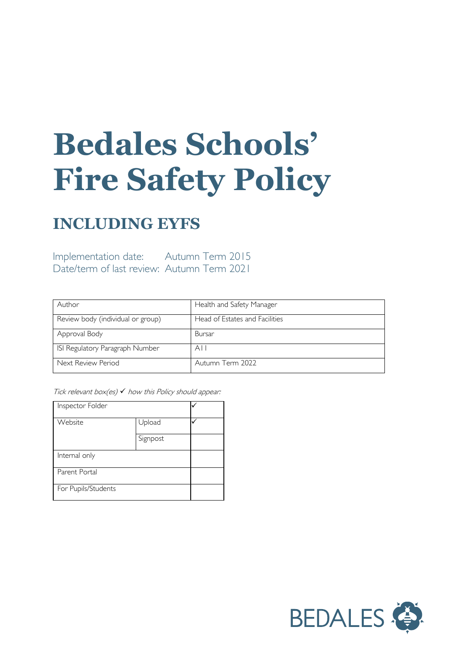# **Bedales Schools' Fire Safety Policy**

### **INCLUDING EYFS**

Implementation date: Autumn Term 2015 Date/term of last review: Autumn Term 2021

| Author                            | Health and Safety Manager      |
|-----------------------------------|--------------------------------|
| Review body (individual or group) | Head of Estates and Facilities |
| Approval Body                     | Bursar                         |
| ISI Regulatory Paragraph Number   | A I I                          |
| Next Review Period                | Autumn Term 2022               |

Tick relevant box(es)  $\checkmark$  how this Policy should appear:

| Inspector Folder    |          |  |
|---------------------|----------|--|
| Website             | Upload   |  |
|                     | Signpost |  |
| Internal only       |          |  |
| Parent Portal       |          |  |
| For Pupils/Students |          |  |

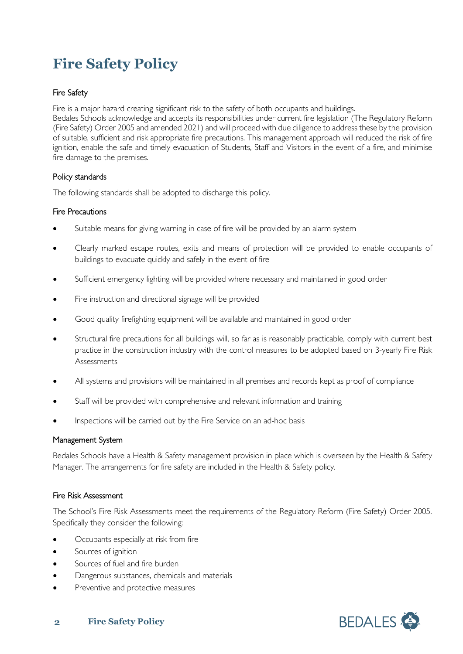## **Fire Safety Policy**

#### Fire Safety

Fire is a major hazard creating significant risk to the safety of both occupants and buildings.

Bedales Schools acknowledge and accepts its responsibilities under current fire legislation (The Regulatory Reform (Fire Safety) Order 2005 and amended 2021) and will proceed with due diligence to address these by the provision of suitable, sufficient and risk appropriate fire precautions. This management approach will reduced the risk of fire ignition, enable the safe and timely evacuation of Students, Staff and Visitors in the event of a fire, and minimise fire damage to the premises.

#### Policy standards

The following standards shall be adopted to discharge this policy.

#### Fire Precautions

- Suitable means for giving warning in case of fire will be provided by an alarm system
- Clearly marked escape routes, exits and means of protection will be provided to enable occupants of buildings to evacuate quickly and safely in the event of fire
- Sufficient emergency lighting will be provided where necessary and maintained in good order
- Fire instruction and directional signage will be provided
- Good quality firefighting equipment will be available and maintained in good order
- Structural fire precautions for all buildings will, so far as is reasonably practicable, comply with current best practice in the construction industry with the control measures to be adopted based on 3-yearly Fire Risk **Assessments**
- All systems and provisions will be maintained in all premises and records kept as proof of compliance
- Staff will be provided with comprehensive and relevant information and training
- Inspections will be carried out by the Fire Service on an ad-hoc basis

#### Management System

Bedales Schools have a Health & Safety management provision in place which is overseen by the Health & Safety Manager. The arrangements for fire safety are included in the Health & Safety policy.

#### Fire Risk Assessment

The School's Fire Risk Assessments meet the requirements of the Regulatory Reform (Fire Safety) Order 2005. Specifically they consider the following:

- Occupants especially at risk from fire
- Sources of ignition
- Sources of fuel and fire burden
- Dangerous substances, chemicals and materials
- Preventive and protective measures



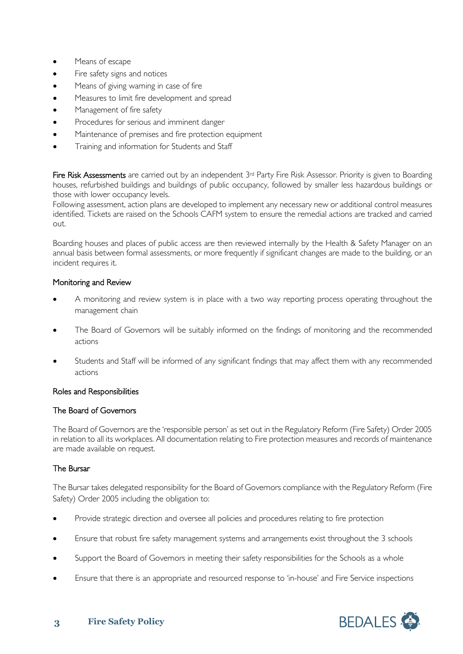- Means of escape
- Fire safety signs and notices
- Means of giving warning in case of fire
- Measures to limit fire development and spread
- Management of fire safety
- Procedures for serious and imminent danger
- Maintenance of premises and fire protection equipment
- Training and information for Students and Staff

Fire Risk Assessments are carried out by an independent 3<sup>rd</sup> Party Fire Risk Assessor. Priority is given to Boarding houses, refurbished buildings and buildings of public occupancy, followed by smaller less hazardous buildings or those with lower occupancy levels.

Following assessment, action plans are developed to implement any necessary new or additional control measures identified. Tickets are raised on the Schools CAFM system to ensure the remedial actions are tracked and carried out.

Boarding houses and places of public access are then reviewed internally by the Health & Safety Manager on an annual basis between formal assessments, or more frequently if significant changes are made to the building, or an incident requires it.

#### Monitoring and Review

- A monitoring and review system is in place with a two way reporting process operating throughout the management chain
- The Board of Governors will be suitably informed on the findings of monitoring and the recommended actions
- Students and Staff will be informed of any significant findings that may affect them with any recommended actions

#### Roles and Responsibilities

#### The Board of Governors

The Board of Governors are the 'responsible person' as set out in the Regulatory Reform (Fire Safety) Order 2005 in relation to all its workplaces. All documentation relating to Fire protection measures and records of maintenance are made available on request.

#### The Bursar

The Bursar takes delegated responsibility for the Board of Governors compliance with the Regulatory Reform (Fire Safety) Order 2005 including the obligation to:

- Provide strategic direction and oversee all policies and procedures relating to fire protection
- Ensure that robust fire safety management systems and arrangements exist throughout the 3 schools
- Support the Board of Governors in meeting their safety responsibilities for the Schools as a whole
- Ensure that there is an appropriate and resourced response to 'in-house' and Fire Service inspections

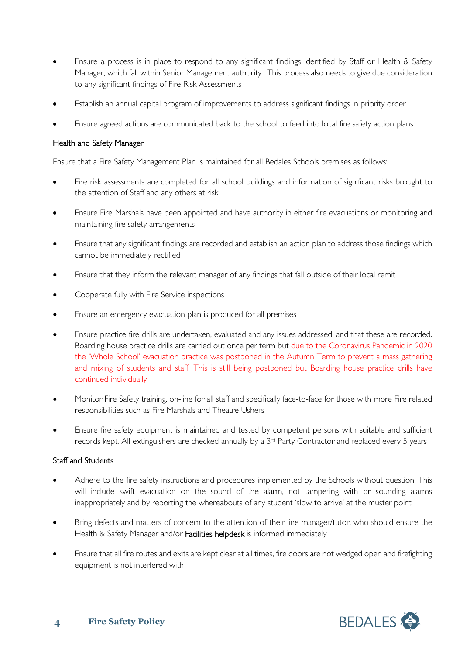- Ensure a process is in place to respond to any significant findings identified by Staff or Health & Safety Manager, which fall within Senior Management authority. This process also needs to give due consideration to any significant findings of Fire Risk Assessments
- Establish an annual capital program of improvements to address significant findings in priority order
- Ensure agreed actions are communicated back to the school to feed into local fire safety action plans

#### Health and Safety Manager

Ensure that a Fire Safety Management Plan is maintained for all Bedales Schools premises as follows:

- Fire risk assessments are completed for all school buildings and information of significant risks brought to the attention of Staff and any others at risk
- Ensure Fire Marshals have been appointed and have authority in either fire evacuations or monitoring and maintaining fire safety arrangements
- Ensure that any significant findings are recorded and establish an action plan to address those findings which cannot be immediately rectified
- Ensure that they inform the relevant manager of any findings that fall outside of their local remit
- Cooperate fully with Fire Service inspections
- Ensure an emergency evacuation plan is produced for all premises
- Ensure practice fire drills are undertaken, evaluated and any issues addressed, and that these are recorded. Boarding house practice drills are carried out once per term but due to the Coronavirus Pandemic in 2020 the 'Whole School' evacuation practice was postponed in the Autumn Term to prevent a mass gathering and mixing of students and staff. This is still being postponed but Boarding house practice drills have continued individually
- Monitor Fire Safety training, on-line for all staff and specifically face-to-face for those with more Fire related responsibilities such as Fire Marshals and Theatre Ushers
- Ensure fire safety equipment is maintained and tested by competent persons with suitable and sufficient records kept. All extinguishers are checked annually by a 3rd Party Contractor and replaced every 5 years

#### Staff and Students

- Adhere to the fire safety instructions and procedures implemented by the Schools without question. This will include swift evacuation on the sound of the alarm, not tampering with or sounding alarms inappropriately and by reporting the whereabouts of any student 'slow to arrive' at the muster point
- Bring defects and matters of concern to the attention of their line manager/tutor, who should ensure the Health & Safety Manager and/or Facilities helpdesk is informed immediately
- Ensure that all fire routes and exits are kept clear at all times, fire doors are not wedged open and firefighting equipment is not interfered with